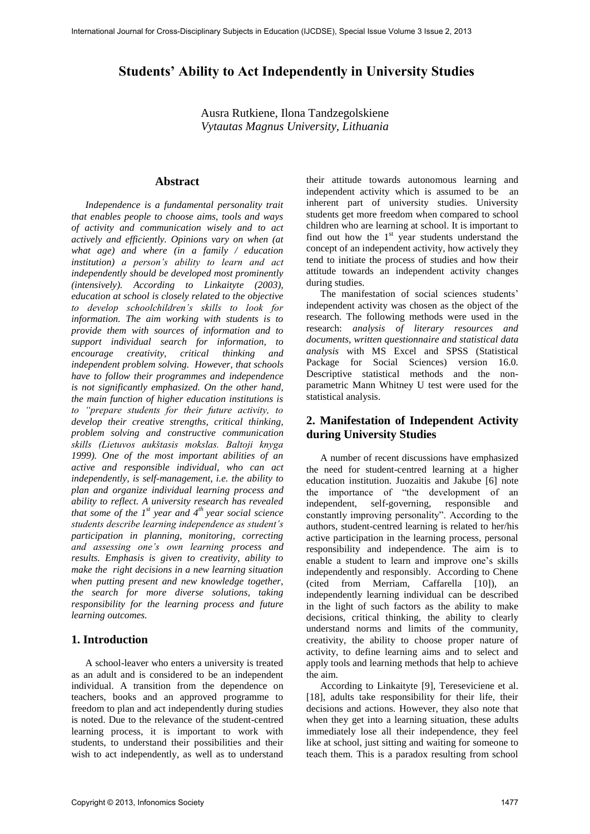# **Students' Ability to Act Independently in University Studies**

Ausra Rutkiene, Ilona Tandzegolskiene *Vytautas Magnus University, Lithuania* 

#### **Abstract**

*Independence is a fundamental personality trait that enables people to choose aims, tools and ways of activity and communication wisely and to act actively and efficiently. Opinions vary on when (at what age) and where (in a family / education institution) a person's ability to learn and act independently should be developed most prominently (intensively). According to Linkaityte (2003), education at school is closely related to the objective to develop schoolchildren's skills to look for information. The aim working with students is to provide them with sources of information and to support individual search for information, to encourage creativity, critical thinking and independent problem solving. However, that schools have to follow their programmes and independence is not significantly emphasized. On the other hand, the main function of higher education institutions is to "prepare students for their future activity, to develop their creative strengths, critical thinking, problem solving and constructive communication skills (Lietuvos aukštasis mokslas. Baltoji knyga 1999). One of the most important abilities of an active and responsible individual, who can act independently, is self-management, i.e. the ability to plan and organize individual learning process and ability to reflect. A university research has revealed that some of the 1st year and 4th year social science students describe learning independence as student's participation in planning, monitoring, correcting and assessing one's own learning process and results. Emphasis is given to creativity, ability to make the right decisions in a new learning situation when putting present and new knowledge together, the search for more diverse solutions, taking responsibility for the learning process and future learning outcomes.* 

#### **1. Introduction**

A school-leaver who enters a university is treated as an adult and is considered to be an independent individual. A transition from the dependence on teachers, books and an approved programme to freedom to plan and act independently during studies is noted. Due to the relevance of the student-centred learning process, it is important to work with students, to understand their possibilities and their wish to act independently, as well as to understand

their attitude towards autonomous learning and independent activity which is assumed to be an inherent part of university studies. University students get more freedom when compared to school children who are learning at school. It is important to find out how the  $1<sup>st</sup>$  year students understand the concept of an independent activity, how actively they tend to initiate the process of studies and how their attitude towards an independent activity changes during studies.

The manifestation of social sciences students' independent activity was chosen as the object of the research. The following methods were used in the research: *analysis of literary resources and documents, written questionnaire and statistical data analysis* with MS Excel and SPSS (Statistical Package for Social Sciences) version 16.0. Descriptive statistical methods and the nonparametric Mann Whitney U test were used for the statistical analysis.

## **2. Manifestation of Independent Activity during University Studies**

A number of recent discussions have emphasized the need for student-centred learning at a higher education institution. Juozaitis and Jakube [6] note the importance of "the development of an independent, self-governing, responsible and constantly improving personality". According to the authors, student-centred learning is related to her/his active participation in the learning process, personal responsibility and independence. The aim is to enable a student to learn and improve one's skills independently and responsibly. According to Chene (cited from Merriam, Caffarella [10]), an independently learning individual can be described in the light of such factors as the ability to make decisions, critical thinking, the ability to clearly understand norms and limits of the community, creativity, the ability to choose proper nature of activity, to define learning aims and to select and apply tools and learning methods that help to achieve the aim.

According to Linkaityte [9], Tereseviciene et al. [18], adults take responsibility for their life, their decisions and actions. However, they also note that when they get into a learning situation, these adults immediately lose all their independence, they feel like at school, just sitting and waiting for someone to teach them. This is a paradox resulting from school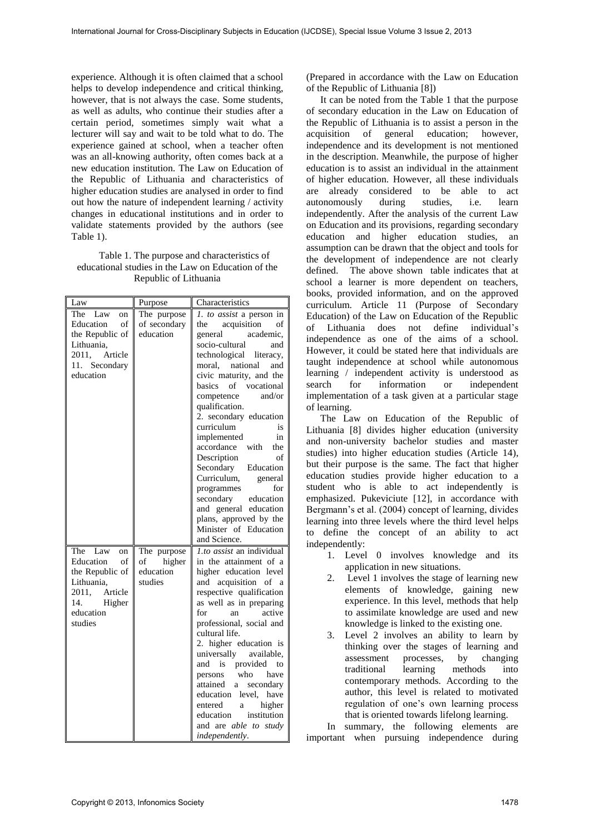experience. Although it is often claimed that a school helps to develop independence and critical thinking, however, that is not always the case. Some students, as well as adults, who continue their studies after a certain period, sometimes simply wait what a lecturer will say and wait to be told what to do. The experience gained at school, when a teacher often was an all-knowing authority, often comes back at a new education institution. The Law on Education of the Republic of Lithuania and characteristics of higher education studies are analysed in order to find out how the nature of independent learning / activity changes in educational institutions and in order to validate statements provided by the authors (see Table 1).

Table 1. The purpose and characteristics of educational studies in the Law on Education of the Republic of Lithuania

| Law                                                                                                                      | Purpose                                             | Characteristics                                                                                                                                                                                                                                                                                                                                                                                                                                                                                                                                 |  |  |  |
|--------------------------------------------------------------------------------------------------------------------------|-----------------------------------------------------|-------------------------------------------------------------------------------------------------------------------------------------------------------------------------------------------------------------------------------------------------------------------------------------------------------------------------------------------------------------------------------------------------------------------------------------------------------------------------------------------------------------------------------------------------|--|--|--|
| The Law<br>on<br>Education<br>of<br>the Republic of<br>Lithuania,<br>2011, Article<br>11. Secondary<br>education         | The purpose<br>of secondary<br>education            | 1. to assist a person in<br>the acquisition<br>of<br>academic.<br>general<br>socio-cultural<br>and<br>technological literacy,<br>moral, national and<br>civic maturity, and the<br>basics of vocational<br>and/or<br>competence<br>qualification.<br>2. secondary education<br>curriculum<br>is<br>in<br>implemented<br>accordance with<br>the<br>Description<br>of<br>Secondary<br>Education<br>Curriculum,<br>general<br>for<br>programmes<br>secondary education<br>and general education<br>plans, approved by the<br>Minister of Education |  |  |  |
| The Law<br>on<br>Education of<br>the Republic of<br>Lithuania,<br>2011, Article<br>14.<br>Higher<br>education<br>studies | The purpose<br>higher<br>of<br>education<br>studies | and Science.<br><i>l.to assist</i> an individual<br>in the attainment of a<br>higher education level<br>and acquisition of a<br>respective qualification<br>as well as in preparing<br>active<br>for<br>an<br>professional, social and<br>cultural life.<br>2. higher education is<br>universally available,<br>and is provided<br>to<br>who<br>persons<br>have<br>attained a secondary<br>education<br>level, have<br>entered<br>a higher<br>education institution<br>and are able to study<br><i>independently.</i>                           |  |  |  |

(Prepared in accordance with the Law on Education of the Republic of Lithuania [8])

It can be noted from the Table 1 that the purpose of secondary education in the Law on Education of the Republic of Lithuania is to assist a person in the acquisition of general education; however, independence and its development is not mentioned in the description. Meanwhile, the purpose of higher education is to assist an individual in the attainment of higher education. However, all these individuals are already considered to be able to act autonomously during studies, i.e. learn independently. After the analysis of the current Law on Education and its provisions, regarding secondary education and higher education studies, an assumption can be drawn that the object and tools for the development of independence are not clearly defined. The above shown table indicates that at school a learner is more dependent on teachers, books, provided information, and on the approved curriculum. Article 11 (Purpose of Secondary Education) of the Law on Education of the Republic of Lithuania does not define individual's independence as one of the aims of a school. However, it could be stated here that individuals are taught independence at school while autonomous learning / independent activity is understood as<br>search for information or independent independent implementation of a task given at a particular stage of learning.

The Law on Education of the Republic of Lithuania [8] divides higher education (university and non-university bachelor studies and master studies) into higher education studies (Article 14), but their purpose is the same. The fact that higher education studies provide higher education to a student who is able to act independently is emphasized. Pukeviciute [12], in accordance with Bergmann's et al. (2004) concept of learning, divides learning into three levels where the third level helps to define the concept of an ability to act independently:

- 1. Level 0 involves knowledge and its application in new situations.
- 2. Level 1 involves the stage of learning new elements of knowledge, gaining new experience. In this level, methods that help to assimilate knowledge are used and new knowledge is linked to the existing one.
- 3. Level 2 involves an ability to learn by thinking over the stages of learning and assessment processes, by changing traditional learning methods into contemporary methods. According to the author, this level is related to motivated regulation of one's own learning process that is oriented towards lifelong learning.

In summary, the following elements are important when pursuing independence during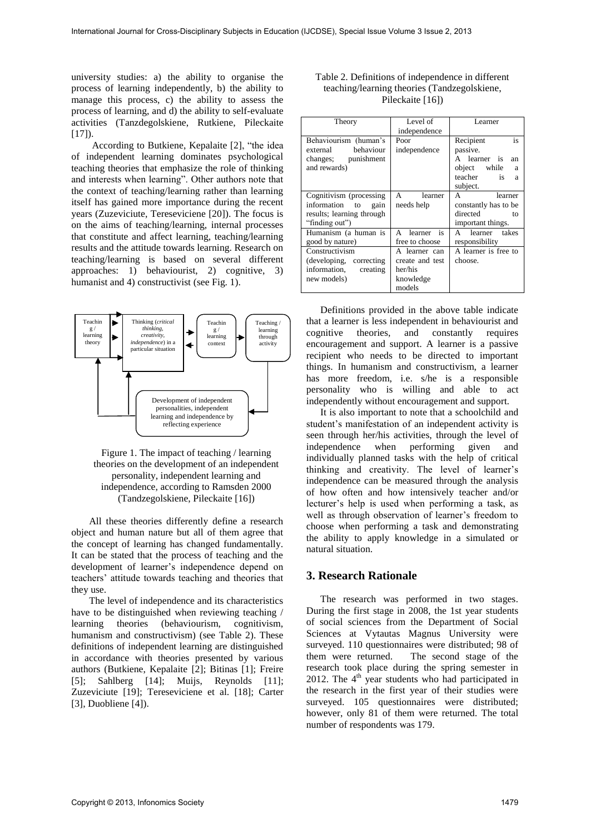university studies: a) the ability to organise the process of learning independently, b) the ability to manage this process, c) the ability to assess the process of learning, and d) the ability to self-evaluate activities (Tanzdegolskiene, Rutkiene, Pileckaite  $[17]$ ).

According to Butkiene, Kepalaite [2], "the idea of independent learning dominates psychological teaching theories that emphasize the role of thinking and interests when learning". Other authors note that the context of teaching/learning rather than learning itself has gained more importance during the recent years (Zuzeviciute, Tereseviciene [20]). The focus is on the aims of teaching/learning, internal processes that constitute and affect learning, teaching/learning results and the attitude towards learning. Research on teaching/learning is based on several different approaches: 1) behaviourist, 2) cognitive, 3) humanist and 4) constructivist (see Fig. 1).



Figure 1. The impact of teaching / learning theories on the development of an independent personality, independent learning and independence, according to Ramsden 2000 (Tandzegolskiene, Pileckaite [16])

All these theories differently define a research object and human nature but all of them agree that the concept of learning has changed fundamentally. It can be stated that the process of teaching and the development of learner's independence depend on teachers' attitude towards teaching and theories that they use.

The level of independence and its characteristics have to be distinguished when reviewing teaching / learning theories (behaviourism, cognitivism, humanism and constructivism) (see Table 2). These definitions of independent learning are distinguished in accordance with theories presented by various authors (Butkiene, Kepalaite [2]; Bitinas [1]; Freire [5]; Sahlberg [14]; Muijs, Reynolds [11]; Zuzeviciute [19]; Tereseviciene et al. [18]; Carter [3], Duobliene [4]).

| Table 2. Definitions of independence in different |
|---------------------------------------------------|
| teaching/learning theories (Tandzegolskiene,      |
| Pileckaite [16])                                  |

| Theory                    | Level of        | I earner             |  |  |  |
|---------------------------|-----------------|----------------------|--|--|--|
|                           | independence    |                      |  |  |  |
| Behaviourism (human's     | Poor            | Recipient<br>is      |  |  |  |
| behaviour<br>external     | independence    | passive.             |  |  |  |
| changes; punishment       |                 | A learner is<br>an   |  |  |  |
| and rewards)              |                 | object while<br>a    |  |  |  |
|                           |                 | teacher<br>is<br>a   |  |  |  |
|                           |                 | subject.             |  |  |  |
| Cognitivism (processing   | learner<br>A    | A<br>learner         |  |  |  |
| information to<br>gain    | needs help      | constantly has to be |  |  |  |
| results; learning through |                 | directed<br>tο       |  |  |  |
| "finding out")            |                 | important things.    |  |  |  |
| Humanism (a human is      | A learner is    | A learner takes      |  |  |  |
| good by nature)           | free to choose  | responsibility       |  |  |  |
| Constructivism            | A learner can   | A learner is free to |  |  |  |
| (developing, correcting   | create and test | choose.              |  |  |  |
| information,<br>creating  | her/his         |                      |  |  |  |
| new models)               | knowledge       |                      |  |  |  |
|                           | models          |                      |  |  |  |

Definitions provided in the above table indicate that a learner is less independent in behaviourist and cognitive theories, and constantly requires encouragement and support. A learner is a passive recipient who needs to be directed to important things. In humanism and constructivism, a learner has more freedom, i.e. s/he is a responsible personality who is willing and able to act independently without encouragement and support.

It is also important to note that a schoolchild and student's manifestation of an independent activity is seen through her/his activities, through the level of independence when performing given and individually planned tasks with the help of critical thinking and creativity. The level of learner's independence can be measured through the analysis of how often and how intensively teacher and/or lecturer's help is used when performing a task, as well as through observation of learner's freedom to choose when performing a task and demonstrating the ability to apply knowledge in a simulated or natural situation.

#### **3. Research Rationale**

The research was performed in two stages. During the first stage in 2008, the 1st year students of social sciences from the Department of Social Sciences at Vytautas Magnus University were surveyed. 110 questionnaires were distributed; 98 of them were returned. The second stage of the research took place during the spring semester in 2012. The  $4<sup>th</sup>$  year students who had participated in the research in the first year of their studies were surveyed. 105 questionnaires were distributed; however, only 81 of them were returned. The total number of respondents was 179.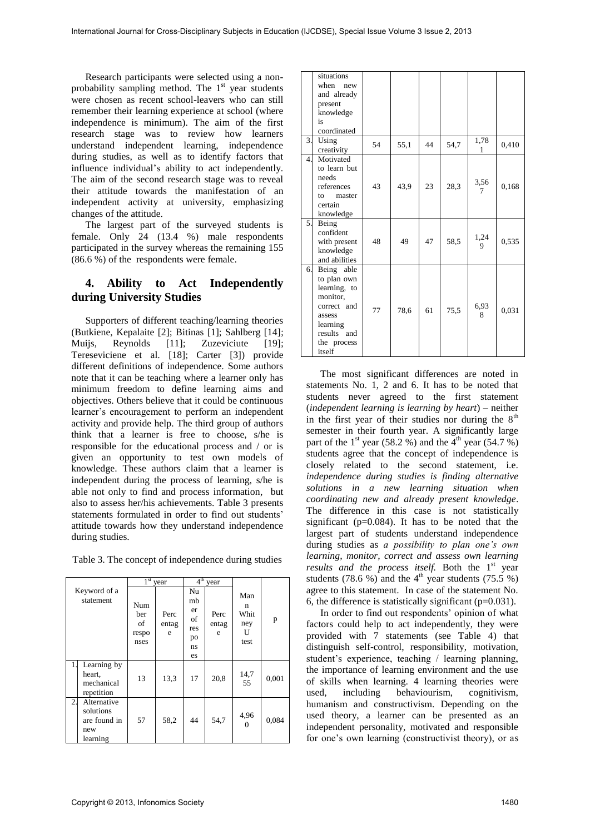Research participants were selected using a nonprobability sampling method. The  $1<sup>st</sup>$  year students were chosen as recent school-leavers who can still remember their learning experience at school (where independence is minimum). The aim of the first research stage was to review how learners understand independent learning, independence during studies, as well as to identify factors that influence individual's ability to act independently. The aim of the second research stage was to reveal their attitude towards the manifestation of an independent activity at university, emphasizing changes of the attitude.

The largest part of the surveyed students is female. Only 24 (13.4 %) male respondents participated in the survey whereas the remaining 155 (86.6 %) of the respondents were female.

### **4. Ability to Act Independently during University Studies**

Supporters of different teaching/learning theories (Butkiene, Kepalaite [2]; Bitinas [1]; Sahlberg [14]; Muijs, Reynolds [11]; Zuzeviciute [19]; Tereseviciene et al. [18]; Carter [3]) provide different definitions of independence. Some authors note that it can be teaching where a learner only has minimum freedom to define learning aims and objectives. Others believe that it could be continuous learner's encouragement to perform an independent activity and provide help. The third group of authors think that a learner is free to choose, s/he is responsible for the educational process and / or is given an opportunity to test own models of knowledge. These authors claim that a learner is independent during the process of learning, s/he is able not only to find and process information, but also to assess her/his achievements. Table 3 presents statements formulated in order to find out students' attitude towards how they understand independence during studies.

Table 3. The concept of independence during studies

|                                                                   | 1 <sup>st</sup><br>year           |                    | 4 <sup>th</sup><br>year                       |                    |                                      |       |
|-------------------------------------------------------------------|-----------------------------------|--------------------|-----------------------------------------------|--------------------|--------------------------------------|-------|
| Keyword of a<br>statement                                         | Num<br>ber<br>of<br>respo<br>nses | Perc<br>entag<br>e | Nu<br>mb<br>er<br>οf<br>res<br>po<br>ns<br>es | Perc<br>entag<br>e | Man<br>n<br>Whit<br>ney<br>U<br>test | p     |
| Learning by<br>1.<br>heart,<br>mechanical<br>repetition           | 13                                | 13.3               | 17                                            | 20,8               | 14,7<br>55                           | 0,001 |
| 2.<br>Alternative<br>solutions<br>are found in<br>new<br>learning | 57                                | 58,2               | 44                                            | 54,7               | 4,96<br>0                            | 0,084 |

|                | situations<br>when new<br>and already<br>present<br>knowledge<br>is<br>coordinated                                                 |    |      |    |      |                |       |
|----------------|------------------------------------------------------------------------------------------------------------------------------------|----|------|----|------|----------------|-------|
| 3.             | Using<br>creativity                                                                                                                | 54 | 55,1 | 44 | 54,7 | 1,78<br>1      | 0,410 |
| $\overline{4}$ | Motivated<br>to learn but<br>needs<br>references<br>master<br>to<br>certain<br>knowledge                                           | 43 | 43,9 | 23 | 28,3 | 3,56<br>$\tau$ | 0,168 |
| 5.             | Being<br>confident<br>with present<br>knowledge<br>and abilities                                                                   | 48 | 49   | 47 | 58,5 | 1,24<br>9      | 0,535 |
| 6.             | Being able<br>to plan own<br>learning, to<br>monitor,<br>correct and<br>assess<br>learning<br>results and<br>the process<br>itself | 77 | 78,6 | 61 | 75,5 | 6,93<br>8      | 0,031 |

The most significant differences are noted in statements No. 1, 2 and 6. It has to be noted that students never agreed to the first statement (*independent learning is learning by heart*) – neither in the first year of their studies nor during the  $8<sup>th</sup>$ semester in their fourth year. A significantly large part of the 1<sup>st</sup> year (58.2 %) and the 4<sup>th</sup> year (54.7 %) students agree that the concept of independence is closely related to the second statement, i.e. *independence during studies is finding alternative solutions in a new learning situation when coordinating new and already present knowledge*. The difference in this case is not statistically significant (p=0.084). It has to be noted that the largest part of students understand independence during studies as *a possibility to plan one's own learning, monitor, correct and assess own learning*  results and the process itself. Both the 1<sup>st</sup> year students (78.6 %) and the  $4<sup>th</sup>$  year students (75.5 %) agree to this statement. In case of the statement No. 6, the difference is statistically significant  $(p=0.031)$ .

In order to find out respondents' opinion of what factors could help to act independently, they were provided with 7 statements (see Table 4) that distinguish self-control, responsibility, motivation, student's experience, teaching / learning planning, the importance of learning environment and the use of skills when learning. 4 learning theories were used, including behaviourism, cognitivism, humanism and constructivism. Depending on the used theory, a learner can be presented as an independent personality, motivated and responsible for one's own learning (constructivist theory), or as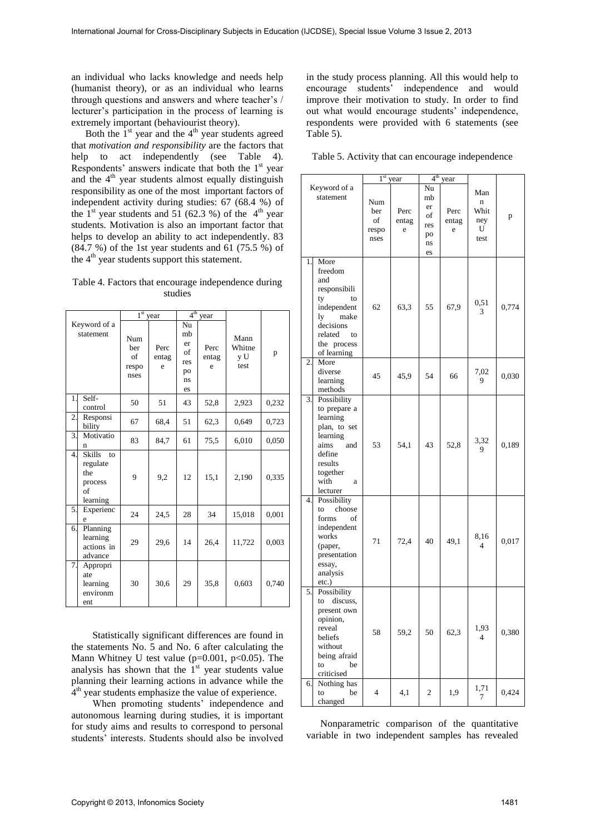an individual who lacks knowledge and needs help (humanist theory), or as an individual who learns through questions and answers and where teacher's / lecturer's participation in the process of learning is extremely important (behaviourist theory).

Both the  $1<sup>st</sup>$  year and the  $4<sup>th</sup>$  year students agreed that *motivation and responsibility* are the factors that help to act independently (see Table 4). Respondents' answers indicate that both the  $1<sup>st</sup>$  year and the  $4<sup>th</sup>$  year students almost equally distinguish responsibility as one of the most important factors of independent activity during studies: 67 (68.4 %) of the  $1<sup>st</sup>$  year students and 51 (62.3 %) of the  $4<sup>th</sup>$  year students. Motivation is also an important factor that helps to develop an ability to act independently. 83 (84.7 %) of the 1st year students and 61 (75.5 %) of the  $4<sup>th</sup>$  year students support this statement.

Table 4. Factors that encourage independence during studies

| Keyword of a<br>statement |                                                                     | $1st$ year                        |                    | 4 <sup>th</sup>                               | year               |                               |       |
|---------------------------|---------------------------------------------------------------------|-----------------------------------|--------------------|-----------------------------------------------|--------------------|-------------------------------|-------|
|                           |                                                                     | Num<br>ber<br>of<br>respo<br>nses | Perc<br>entag<br>e | Nu<br>mb<br>er<br>of<br>res<br>po<br>ns<br>es | Perc<br>entag<br>e | Mann<br>Whitne<br>y U<br>test | p     |
| 1.                        | Self-<br>control                                                    | 50                                | 51                 | 43                                            | 52,8               | 2,923                         | 0,232 |
| 2.                        | Responsi<br>bility                                                  | 67                                | 68,4               | 51                                            | 62,3               | 0,649                         | 0,723 |
| 3.                        | Motivatio<br>n                                                      | 83                                | 84,7               | 61                                            | 75,5               | 6,010                         | 0,050 |
| 4.                        | <b>Skills</b><br>to<br>regulate<br>the<br>process<br>of<br>learning | 9                                 | 9,2                | 12                                            | 15,1               | 2,190                         | 0,335 |
| 5.                        | Experienc<br>e                                                      | 24                                | 24,5               | 28                                            | 34                 | 15,018                        | 0,001 |
| 6.                        | Planning<br>learning<br>actions in<br>advance                       | 29                                | 29,6               | 14                                            | 26,4               | 11,722                        | 0,003 |
| 7.                        | Appropri<br>ate<br>learning<br>environm<br>ent                      | 30                                | 30,6               | 29                                            | 35,8               | 0,603                         | 0,740 |

Statistically significant differences are found in the statements No. 5 and No. 6 after calculating the Mann Whitney U test value ( $p=0.001$ ,  $p<0.05$ ). The analysis has shown that the  $1<sup>st</sup>$  year students value planning their learning actions in advance while the  $4<sup>th</sup>$  year students emphasize the value of experience.

When promoting students' independence and autonomous learning during studies, it is important for study aims and results to correspond to personal students' interests. Students should also be involved in the study process planning. All this would help to encourage students' independence and would improve their motivation to study. In order to find out what would encourage students' independence, respondents were provided with 6 statements (see Table 5).

|                  |                                                                                                                                              | $1st$ year                        |                    | 4 <sup>th</sup><br>year                                           |                    |                                                |       |
|------------------|----------------------------------------------------------------------------------------------------------------------------------------------|-----------------------------------|--------------------|-------------------------------------------------------------------|--------------------|------------------------------------------------|-------|
|                  | Keyword of a<br>statement                                                                                                                    | Num<br>ber<br>οf<br>respo<br>nses | Perc<br>entag<br>e | $\overline{\text{Nu}}$<br>mb<br>er<br>of<br>res<br>po<br>ns<br>es | Perc<br>entag<br>e | Man<br>$\mathbf n$<br>Whit<br>ney<br>U<br>test | p     |
| 1.               | More<br>freedom<br>and<br>responsibili<br>ty<br>to<br>independent<br>ly<br>make<br>decisions<br>related<br>to<br>the process<br>of learning  | 62                                | 63,3               | 55                                                                | 67,9               | 0,51<br>3                                      | 0,774 |
| 2.               | More<br>diverse<br>learning<br>methods                                                                                                       | 45                                | 45,9               | 54                                                                | 66                 | 7,02<br>9                                      | 0,030 |
| 3.               | Possibility<br>to prepare a<br>learning<br>plan, to set<br>learning<br>aims<br>and<br>define<br>results<br>together<br>with<br>a<br>lecturer | 53                                | 54,1               | 43                                                                | 52,8               | 3,32<br>9                                      | 0,189 |
| $\overline{4}$ . | Possibility<br>to<br>choose<br>forms<br>οf<br>independent<br>works<br>(paper,<br>presentation<br>essay,<br>analysis<br>etc.)                 | 71                                | 72,4               | 40                                                                | 49,1               | 8,16<br>4                                      | 0,017 |
| 5.               | Possibility<br>to<br>discuss,<br>present own<br>opinion,<br>reveal<br>beliefs<br>without<br>being afraid<br>be<br>to<br>criticised           | 58                                | 59,2               | 50                                                                | 62,3               | 1,93<br>$\overline{4}$                         | 0,380 |
| 6.               | Nothing has<br>be<br>to<br>changed                                                                                                           | $\overline{4}$                    | 4,1                | 2                                                                 | 1,9                | 1,71<br>7                                      | 0,424 |

Nonparametric comparison of the quantitative variable in two independent samples has revealed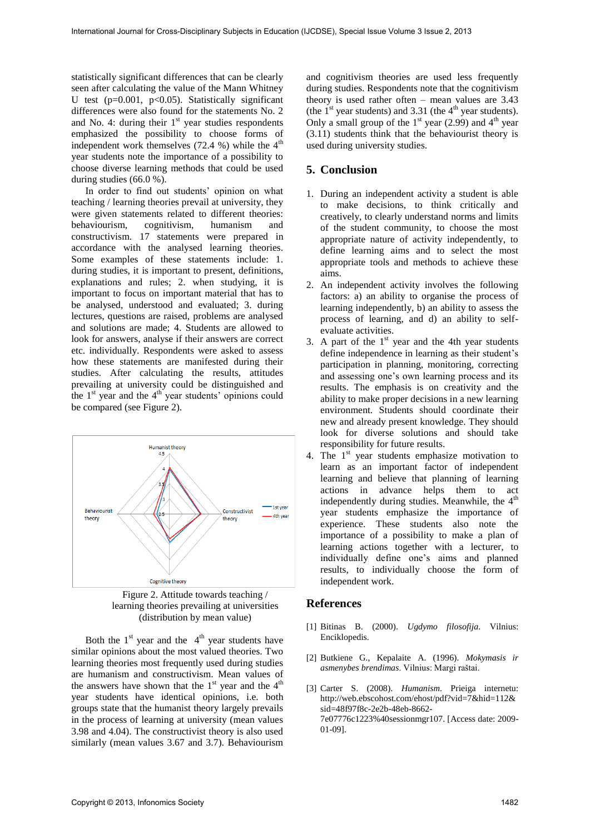statistically significant differences that can be clearly seen after calculating the value of the Mann Whitney U test ( $p=0.001$ ,  $p<0.05$ ). Statistically significant differences were also found for the statements No. 2 and No. 4: during their  $1<sup>st</sup>$  year studies respondents emphasized the possibility to choose forms of independent work themselves  $(72.4 \%)$  while the  $4<sup>th</sup>$ year students note the importance of a possibility to choose diverse learning methods that could be used during studies (66.0 %).

In order to find out students' opinion on what teaching / learning theories prevail at university, they were given statements related to different theories: behaviourism, cognitivism, humanism and constructivism. 17 statements were prepared in accordance with the analysed learning theories. Some examples of these statements include: 1. during studies, it is important to present, definitions, explanations and rules; 2. when studying, it is important to focus on important material that has to be analysed, understood and evaluated; 3. during lectures, questions are raised, problems are analysed and solutions are made; 4. Students are allowed to look for answers, analyse if their answers are correct etc. individually. Respondents were asked to assess how these statements are manifested during their studies. After calculating the results, attitudes prevailing at university could be distinguished and the  $1<sup>st</sup>$  year and the  $4<sup>th</sup>$  year students' opinions could be compared (see Figure 2).



Figure 2. Attitude towards teaching / learning theories prevailing at universities (distribution by mean value)

Both the  $1<sup>st</sup>$  year and the  $4<sup>th</sup>$  year students have similar opinions about the most valued theories. Two learning theories most frequently used during studies are humanism and constructivism. Mean values of the answers have shown that the  $1<sup>st</sup>$  year and the  $4<sup>th</sup>$ year students have identical opinions, i.e. both groups state that the humanist theory largely prevails in the process of learning at university (mean values 3.98 and 4.04). The constructivist theory is also used similarly (mean values 3.67 and 3.7). Behaviourism

and cognitivism theories are used less frequently during studies. Respondents note that the cognitivism theory is used rather often – mean values are 3.43 (the  $1<sup>st</sup>$  year students) and 3.31 (the  $4<sup>th</sup>$  year students). Only a small group of the  $1<sup>st</sup>$  year (2.99) and  $4<sup>th</sup>$  year (3.11) students think that the behaviourist theory is used during university studies.

### **5. Conclusion**

- 1. During an independent activity a student is able to make decisions, to think critically and creatively, to clearly understand norms and limits of the student community, to choose the most appropriate nature of activity independently, to define learning aims and to select the most appropriate tools and methods to achieve these aims.
- 2. An independent activity involves the following factors: a) an ability to organise the process of learning independently, b) an ability to assess the process of learning, and d) an ability to selfevaluate activities.
- 3. A part of the  $1<sup>st</sup>$  year and the 4th year students define independence in learning as their student's participation in planning, monitoring, correcting and assessing one's own learning process and its results. The emphasis is on creativity and the ability to make proper decisions in a new learning environment. Students should coordinate their new and already present knowledge. They should look for diverse solutions and should take responsibility for future results.
- 4. The  $1<sup>st</sup>$  year students emphasize motivation to learn as an important factor of independent learning and believe that planning of learning actions in advance helps them to act independently during studies. Meanwhile, the  $4<sup>th</sup>$ year students emphasize the importance of experience. These students also note the importance of a possibility to make a plan of learning actions together with a lecturer, to individually define one's aims and planned results, to individually choose the form of independent work.

#### **References**

- [1] Bitinas B. (2000). *Ugdymo filosofija*. Vilnius: Enciklopedis.
- [2] Butkiene G., Kepalaite A. (1996). *Mokymasis ir asmenybes brendimas*. Vilnius: Margi raštai.
- [3] Carter S. (2008). *Humanism*. Prieiga internetu: [http://web.ebscohost.com/ehost/pdf?vid=7&hid=112&](http://web.ebscohost.com/ehost/pdf?vid=7&hid=112&sid=48f97f8c-2e2b-48eb-8662-7e07776c1223%40sessionmgr107) [sid=48f97f8c-2e2b-48eb-8662-](http://web.ebscohost.com/ehost/pdf?vid=7&hid=112&sid=48f97f8c-2e2b-48eb-8662-7e07776c1223%40sessionmgr107) [7e07776c1223%40sessionmgr107.](http://web.ebscohost.com/ehost/pdf?vid=7&hid=112&sid=48f97f8c-2e2b-48eb-8662-7e07776c1223%40sessionmgr107) [Access date: 2009- 01-09].